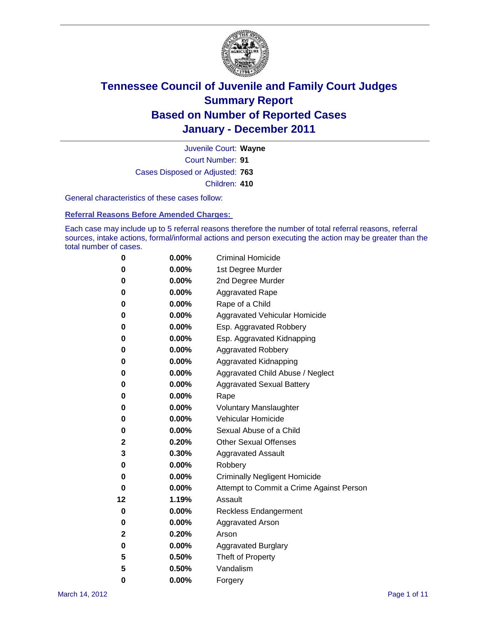

Court Number: **91** Juvenile Court: **Wayne** Cases Disposed or Adjusted: **763** Children: **410**

General characteristics of these cases follow:

**Referral Reasons Before Amended Charges:** 

Each case may include up to 5 referral reasons therefore the number of total referral reasons, referral sources, intake actions, formal/informal actions and person executing the action may be greater than the total number of cases.

| 0  | 0.00%    | <b>Criminal Homicide</b>                 |  |  |  |
|----|----------|------------------------------------------|--|--|--|
| 0  | 0.00%    | 1st Degree Murder                        |  |  |  |
| 0  | 0.00%    | 2nd Degree Murder                        |  |  |  |
| 0  | 0.00%    | <b>Aggravated Rape</b>                   |  |  |  |
| 0  | 0.00%    | Rape of a Child                          |  |  |  |
| 0  | 0.00%    | Aggravated Vehicular Homicide            |  |  |  |
| 0  | 0.00%    | Esp. Aggravated Robbery                  |  |  |  |
| 0  | 0.00%    | Esp. Aggravated Kidnapping               |  |  |  |
| 0  | 0.00%    | <b>Aggravated Robbery</b>                |  |  |  |
| 0  | 0.00%    | Aggravated Kidnapping                    |  |  |  |
| 0  | 0.00%    | Aggravated Child Abuse / Neglect         |  |  |  |
| 0  | 0.00%    | <b>Aggravated Sexual Battery</b>         |  |  |  |
| 0  | 0.00%    | Rape                                     |  |  |  |
| 0  | $0.00\%$ | <b>Voluntary Manslaughter</b>            |  |  |  |
| 0  | 0.00%    | Vehicular Homicide                       |  |  |  |
| 0  | 0.00%    | Sexual Abuse of a Child                  |  |  |  |
| 2  | 0.20%    | <b>Other Sexual Offenses</b>             |  |  |  |
| 3  | 0.30%    | <b>Aggravated Assault</b>                |  |  |  |
| 0  | $0.00\%$ | Robbery                                  |  |  |  |
| 0  | 0.00%    | <b>Criminally Negligent Homicide</b>     |  |  |  |
| 0  | 0.00%    | Attempt to Commit a Crime Against Person |  |  |  |
| 12 | 1.19%    | Assault                                  |  |  |  |
| 0  | 0.00%    | <b>Reckless Endangerment</b>             |  |  |  |
| 0  | 0.00%    | <b>Aggravated Arson</b>                  |  |  |  |
| 2  | 0.20%    | Arson                                    |  |  |  |
| 0  | 0.00%    | <b>Aggravated Burglary</b>               |  |  |  |
| 5  | 0.50%    | Theft of Property                        |  |  |  |
| 5  | 0.50%    | Vandalism                                |  |  |  |
| 0  | 0.00%    | Forgery                                  |  |  |  |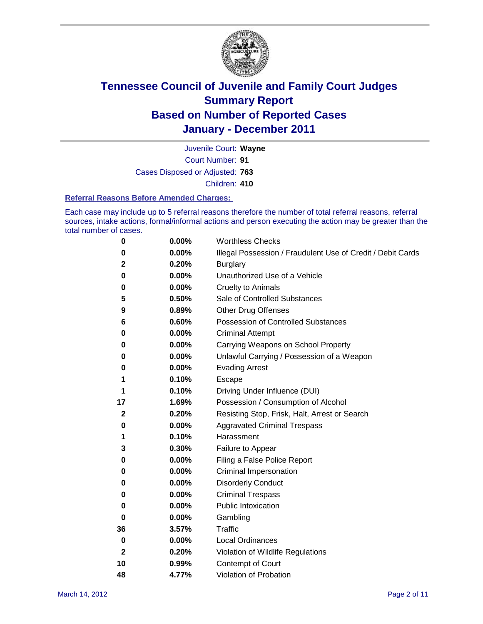

Court Number: **91** Juvenile Court: **Wayne** Cases Disposed or Adjusted: **763** Children: **410**

#### **Referral Reasons Before Amended Charges:**

Each case may include up to 5 referral reasons therefore the number of total referral reasons, referral sources, intake actions, formal/informal actions and person executing the action may be greater than the total number of cases.

| 0            | 0.00% | <b>Worthless Checks</b>                                     |
|--------------|-------|-------------------------------------------------------------|
| 0            | 0.00% | Illegal Possession / Fraudulent Use of Credit / Debit Cards |
| 2            | 0.20% | <b>Burglary</b>                                             |
| 0            | 0.00% | Unauthorized Use of a Vehicle                               |
| 0            | 0.00% | <b>Cruelty to Animals</b>                                   |
| 5            | 0.50% | Sale of Controlled Substances                               |
| 9            | 0.89% | <b>Other Drug Offenses</b>                                  |
| 6            | 0.60% | <b>Possession of Controlled Substances</b>                  |
| 0            | 0.00% | <b>Criminal Attempt</b>                                     |
| 0            | 0.00% | Carrying Weapons on School Property                         |
| 0            | 0.00% | Unlawful Carrying / Possession of a Weapon                  |
| 0            | 0.00% | <b>Evading Arrest</b>                                       |
| 1            | 0.10% | Escape                                                      |
| 1            | 0.10% | Driving Under Influence (DUI)                               |
| 17           | 1.69% | Possession / Consumption of Alcohol                         |
| 2            | 0.20% | Resisting Stop, Frisk, Halt, Arrest or Search               |
| 0            | 0.00% | <b>Aggravated Criminal Trespass</b>                         |
| 1            | 0.10% | Harassment                                                  |
| 3            | 0.30% | Failure to Appear                                           |
| 0            | 0.00% | Filing a False Police Report                                |
| 0            | 0.00% | Criminal Impersonation                                      |
| 0            | 0.00% | <b>Disorderly Conduct</b>                                   |
| 0            | 0.00% | <b>Criminal Trespass</b>                                    |
| 0            | 0.00% | <b>Public Intoxication</b>                                  |
| 0            | 0.00% | Gambling                                                    |
| 36           | 3.57% | <b>Traffic</b>                                              |
| 0            | 0.00% | <b>Local Ordinances</b>                                     |
| $\mathbf{2}$ | 0.20% | Violation of Wildlife Regulations                           |
| 10           | 0.99% | Contempt of Court                                           |
| 48           | 4.77% | Violation of Probation                                      |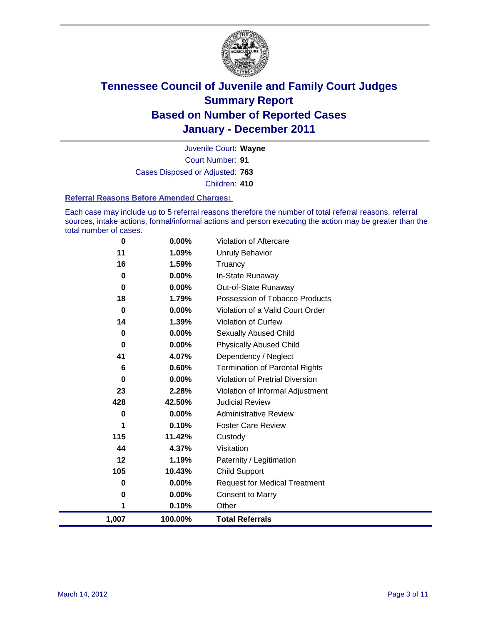

Court Number: **91** Juvenile Court: **Wayne** Cases Disposed or Adjusted: **763** Children: **410**

#### **Referral Reasons Before Amended Charges:**

Each case may include up to 5 referral reasons therefore the number of total referral reasons, referral sources, intake actions, formal/informal actions and person executing the action may be greater than the total number of cases.

| 0           | 0.00%    | Violation of Aftercare                 |
|-------------|----------|----------------------------------------|
| 11          | 1.09%    | <b>Unruly Behavior</b>                 |
| 16          | 1.59%    | Truancy                                |
| 0           | 0.00%    | In-State Runaway                       |
| 0           | 0.00%    | Out-of-State Runaway                   |
| 18          | 1.79%    | Possession of Tobacco Products         |
| $\mathbf 0$ | $0.00\%$ | Violation of a Valid Court Order       |
| 14          | 1.39%    | Violation of Curfew                    |
| 0           | $0.00\%$ | Sexually Abused Child                  |
| 0           | 0.00%    | <b>Physically Abused Child</b>         |
| 41          | 4.07%    | Dependency / Neglect                   |
| 6           | 0.60%    | <b>Termination of Parental Rights</b>  |
| 0           | $0.00\%$ | <b>Violation of Pretrial Diversion</b> |
| 23          | 2.28%    | Violation of Informal Adjustment       |
| 428         | 42.50%   | <b>Judicial Review</b>                 |
| 0           | $0.00\%$ | <b>Administrative Review</b>           |
| 1           | 0.10%    | <b>Foster Care Review</b>              |
| 115         | 11.42%   | Custody                                |
| 44          | 4.37%    | Visitation                             |
| 12          | 1.19%    | Paternity / Legitimation               |
| 105         | 10.43%   | <b>Child Support</b>                   |
| 0           | $0.00\%$ | <b>Request for Medical Treatment</b>   |
| 0           | 0.00%    | <b>Consent to Marry</b>                |
| 1           | 0.10%    | Other                                  |
| 1,007       | 100.00%  | <b>Total Referrals</b>                 |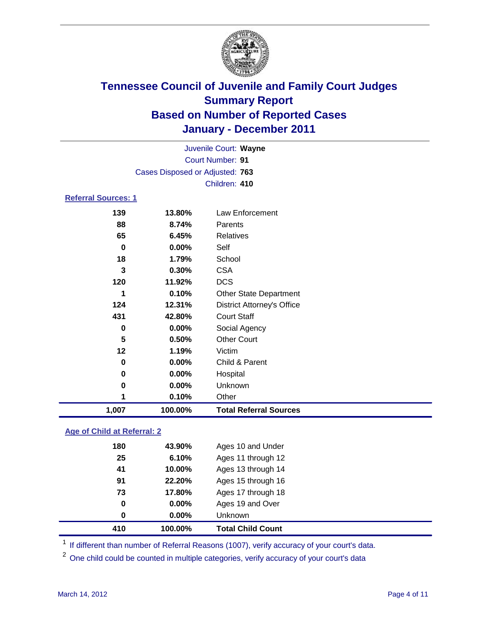

| 1,007                      | 100.00%                         | <b>Total Referral Sources</b>     |  |
|----------------------------|---------------------------------|-----------------------------------|--|
| 1                          | 0.10%                           | Other                             |  |
| 0                          | 0.00%                           | Unknown                           |  |
| 0                          | 0.00%                           | Hospital                          |  |
| $\bf{0}$                   | 0.00%                           | Child & Parent                    |  |
| 12                         | 1.19%                           | Victim                            |  |
| 5                          | 0.50%                           | <b>Other Court</b>                |  |
| $\bf{0}$                   | 0.00%                           | Social Agency                     |  |
| 431                        | 42.80%                          | <b>Court Staff</b>                |  |
| 124                        | 12.31%                          | <b>District Attorney's Office</b> |  |
| 1                          | 0.10%                           | <b>Other State Department</b>     |  |
| 120                        | 11.92%                          | <b>DCS</b>                        |  |
| 3                          | 0.30%                           | <b>CSA</b>                        |  |
| 18                         | 1.79%                           | School                            |  |
| $\bf{0}$                   | 0.00%                           | Self                              |  |
| 65                         | 6.45%                           | <b>Relatives</b>                  |  |
| 88                         | 8.74%                           | Parents                           |  |
| 139                        | 13.80%                          | Law Enforcement                   |  |
| <b>Referral Sources: 1</b> |                                 |                                   |  |
|                            |                                 | Children: 410                     |  |
|                            | Cases Disposed or Adjusted: 763 |                                   |  |
|                            |                                 | <b>Court Number: 91</b>           |  |
|                            | Juvenile Court: Wayne           |                                   |  |
|                            |                                 |                                   |  |

### **Age of Child at Referral: 2**

| 410 | 100.00%           | <b>Total Child Count</b> |
|-----|-------------------|--------------------------|
|     | 0.00%<br>$\bf{0}$ | <b>Unknown</b>           |
|     | 0.00%<br>0        | Ages 19 and Over         |
|     | 73<br>17.80%      | Ages 17 through 18       |
|     | 22.20%<br>91      | Ages 15 through 16       |
|     | 41<br>10.00%      | Ages 13 through 14       |
|     | 25<br>6.10%       | Ages 11 through 12       |
| 180 | 43.90%            | Ages 10 and Under        |
|     |                   |                          |

<sup>1</sup> If different than number of Referral Reasons (1007), verify accuracy of your court's data.

<sup>2</sup> One child could be counted in multiple categories, verify accuracy of your court's data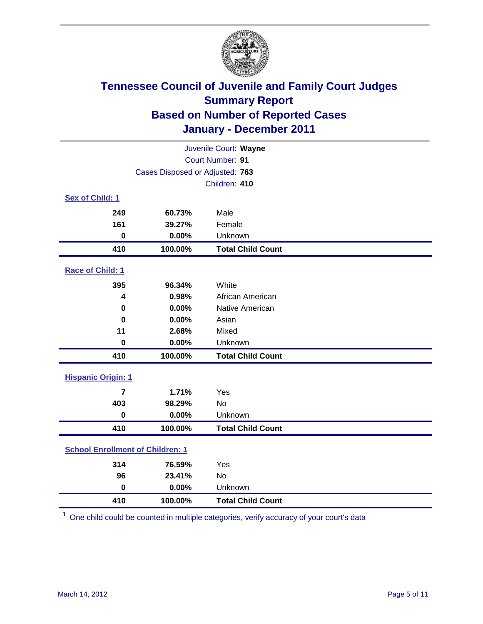

| Juvenile Court: Wayne                   |                                 |                          |  |  |
|-----------------------------------------|---------------------------------|--------------------------|--|--|
|                                         | Court Number: 91                |                          |  |  |
|                                         | Cases Disposed or Adjusted: 763 |                          |  |  |
|                                         |                                 | Children: 410            |  |  |
| Sex of Child: 1                         |                                 |                          |  |  |
| 249                                     | 60.73%                          | Male                     |  |  |
| 161                                     | 39.27%                          | Female                   |  |  |
| $\mathbf 0$                             | 0.00%                           | Unknown                  |  |  |
| 410                                     | 100.00%                         | <b>Total Child Count</b> |  |  |
| Race of Child: 1                        |                                 |                          |  |  |
| 395                                     | 96.34%                          | White                    |  |  |
| 4                                       | 0.98%                           | African American         |  |  |
| $\mathbf 0$                             | 0.00%                           | Native American          |  |  |
| $\bf{0}$                                | 0.00%                           | Asian                    |  |  |
| 11                                      | 2.68%                           | Mixed                    |  |  |
| $\mathbf 0$                             | 0.00%                           | Unknown                  |  |  |
| 410                                     | 100.00%                         | <b>Total Child Count</b> |  |  |
| <b>Hispanic Origin: 1</b>               |                                 |                          |  |  |
| $\overline{7}$                          | 1.71%                           | Yes                      |  |  |
| 403                                     | 98.29%                          | No                       |  |  |
| $\mathbf 0$                             | 0.00%                           | Unknown                  |  |  |
| 410                                     | 100.00%                         | <b>Total Child Count</b> |  |  |
| <b>School Enrollment of Children: 1</b> |                                 |                          |  |  |
| 314                                     | 76.59%                          | Yes                      |  |  |
| 96                                      | 23.41%                          | No                       |  |  |
| $\mathbf 0$                             | 0.00%                           | Unknown                  |  |  |
| 410                                     | 100.00%                         | <b>Total Child Count</b> |  |  |

One child could be counted in multiple categories, verify accuracy of your court's data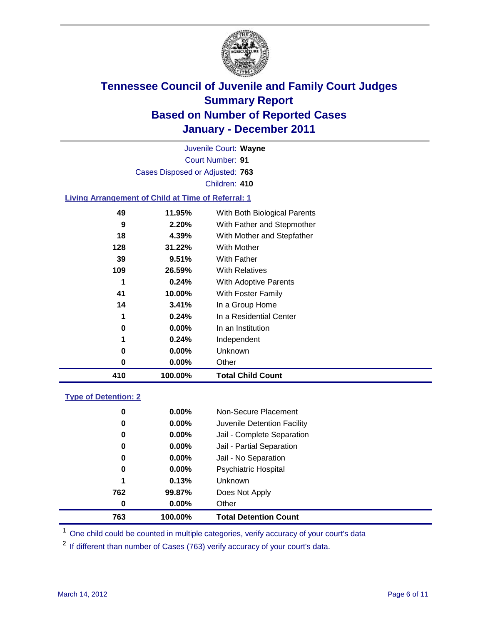

Court Number: **91** Juvenile Court: **Wayne** Cases Disposed or Adjusted: **763** Children: **410**

### **Living Arrangement of Child at Time of Referral: 1**

| 410 | 100.00%  | <b>Total Child Count</b>     |
|-----|----------|------------------------------|
| 0   | $0.00\%$ | Other                        |
| 0   | $0.00\%$ | Unknown                      |
| 1   | 0.24%    | Independent                  |
| 0   | $0.00\%$ | In an Institution            |
| 1   | 0.24%    | In a Residential Center      |
| 14  | 3.41%    | In a Group Home              |
| 41  | 10.00%   | With Foster Family           |
| 1   | 0.24%    | With Adoptive Parents        |
| 109 | 26.59%   | <b>With Relatives</b>        |
| 39  | 9.51%    | <b>With Father</b>           |
| 128 | 31.22%   | <b>With Mother</b>           |
| 18  | 4.39%    | With Mother and Stepfather   |
| 9   | 2.20%    | With Father and Stepmother   |
| 49  | 11.95%   | With Both Biological Parents |
|     |          |                              |

#### **Type of Detention: 2**

| 763      | 100.00%  | <b>Total Detention Count</b> |
|----------|----------|------------------------------|
| $\bf{0}$ | $0.00\%$ | Other                        |
| 762      | 99.87%   | Does Not Apply               |
| 1        | 0.13%    | <b>Unknown</b>               |
| 0        | 0.00%    | <b>Psychiatric Hospital</b>  |
| 0        | 0.00%    | Jail - No Separation         |
| 0        | $0.00\%$ | Jail - Partial Separation    |
| 0        | $0.00\%$ | Jail - Complete Separation   |
| 0        | $0.00\%$ | Juvenile Detention Facility  |
| 0        | $0.00\%$ | Non-Secure Placement         |
|          |          |                              |

<sup>1</sup> One child could be counted in multiple categories, verify accuracy of your court's data

<sup>2</sup> If different than number of Cases (763) verify accuracy of your court's data.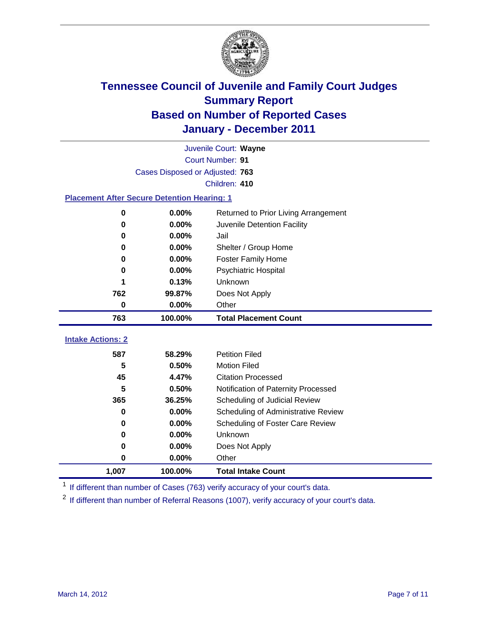

|                                                    | Juvenile Court: Wayne           |                                      |  |  |  |
|----------------------------------------------------|---------------------------------|--------------------------------------|--|--|--|
|                                                    | Court Number: 91                |                                      |  |  |  |
|                                                    | Cases Disposed or Adjusted: 763 |                                      |  |  |  |
|                                                    |                                 | Children: 410                        |  |  |  |
| <b>Placement After Secure Detention Hearing: 1</b> |                                 |                                      |  |  |  |
| 0                                                  | 0.00%                           | Returned to Prior Living Arrangement |  |  |  |
| 0                                                  | 0.00%                           | Juvenile Detention Facility          |  |  |  |
| $\bf{0}$                                           | 0.00%                           | Jail                                 |  |  |  |
| $\bf{0}$                                           | 0.00%                           | Shelter / Group Home                 |  |  |  |
| 0                                                  | 0.00%                           | <b>Foster Family Home</b>            |  |  |  |
| 0                                                  | 0.00%                           | <b>Psychiatric Hospital</b>          |  |  |  |
|                                                    | 0.13%                           | Unknown                              |  |  |  |
| 762                                                | 99.87%                          | Does Not Apply                       |  |  |  |
| 0                                                  | 0.00%                           | Other                                |  |  |  |
| 763                                                | 100.00%                         | <b>Total Placement Count</b>         |  |  |  |
|                                                    |                                 |                                      |  |  |  |
| <b>Intake Actions: 2</b>                           |                                 |                                      |  |  |  |
| 587                                                | 58.29%                          | <b>Petition Filed</b>                |  |  |  |
| 5                                                  | 0.50%                           | <b>Motion Filed</b>                  |  |  |  |
| 45                                                 | 4.47%                           | <b>Citation Processed</b>            |  |  |  |
| 5                                                  | 0.50%                           | Notification of Paternity Processed  |  |  |  |
| 365                                                | 36.25%                          | Scheduling of Judicial Review        |  |  |  |
| $\bf{0}$                                           | 0.00%                           | Scheduling of Administrative Review  |  |  |  |
| 0                                                  | 0.00%                           | Scheduling of Foster Care Review     |  |  |  |
| $\bf{0}$                                           | 0.00%                           | Unknown                              |  |  |  |
| $\bf{0}$                                           | 0.00%                           | Does Not Apply                       |  |  |  |
| 0                                                  | 0.00%                           | Other                                |  |  |  |
| 1,007                                              | 100.00%                         | <b>Total Intake Count</b>            |  |  |  |

<sup>1</sup> If different than number of Cases (763) verify accuracy of your court's data.

<sup>2</sup> If different than number of Referral Reasons (1007), verify accuracy of your court's data.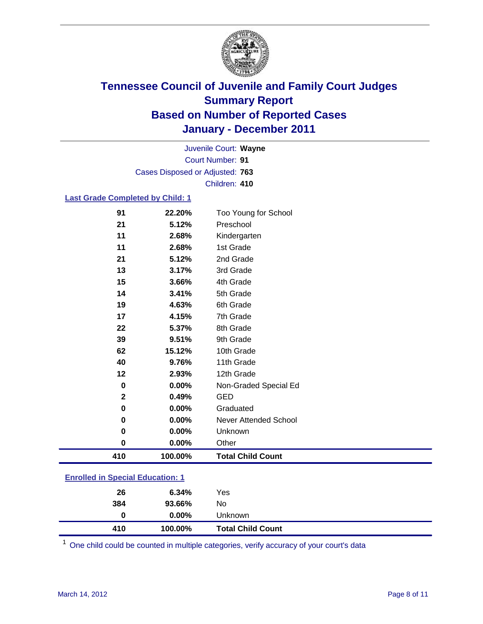

Court Number: **91** Juvenile Court: **Wayne** Cases Disposed or Adjusted: **763** Children: **410**

### **Last Grade Completed by Child: 1**

| 410         | 100.00% | <b>Total Child Count</b> |  |
|-------------|---------|--------------------------|--|
| 0           | 0.00%   | Other                    |  |
| 0           | 0.00%   | Unknown                  |  |
| 0           | 0.00%   | Never Attended School    |  |
| 0           | 0.00%   | Graduated                |  |
| $\mathbf 2$ | 0.49%   | <b>GED</b>               |  |
| 0           | 0.00%   | Non-Graded Special Ed    |  |
| 12          | 2.93%   | 12th Grade               |  |
| 40          | 9.76%   | 11th Grade               |  |
| 62          | 15.12%  | 10th Grade               |  |
| 39          | 9.51%   | 9th Grade                |  |
| 22          | 5.37%   | 8th Grade                |  |
| 17          | 4.15%   | 7th Grade                |  |
| 19          | 4.63%   | 6th Grade                |  |
| 14          | 3.41%   | 5th Grade                |  |
| 15          | 3.66%   | 4th Grade                |  |
| 13          | 3.17%   | 3rd Grade                |  |
| 21          | 5.12%   | 2nd Grade                |  |
| 11          | 2.68%   | 1st Grade                |  |
| 11          | 2.68%   | Kindergarten             |  |
| 21          | 5.12%   | Preschool                |  |
| 91          | 22.20%  | Too Young for School     |  |

### **Enrolled in Special Education: 1**

| 410 | 100.00%  | <b>Total Child Count</b> |  |
|-----|----------|--------------------------|--|
| 0   | $0.00\%$ | Unknown                  |  |
| 384 | 93.66%   | No                       |  |
| 26  | 6.34%    | Yes                      |  |
|     |          |                          |  |

One child could be counted in multiple categories, verify accuracy of your court's data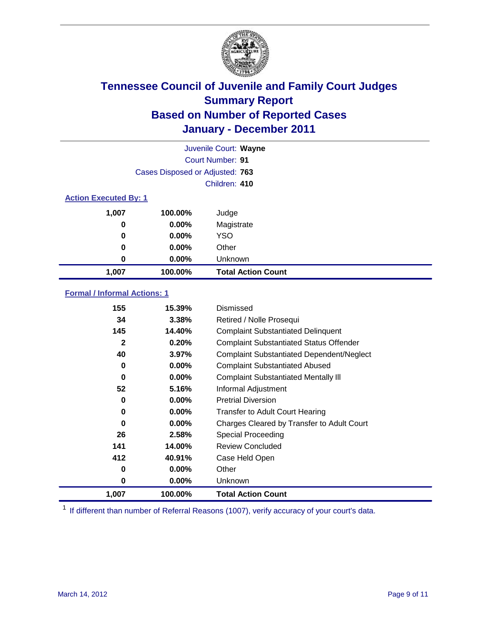

|                              | Juvenile Court: Wayne           |                           |  |  |
|------------------------------|---------------------------------|---------------------------|--|--|
|                              |                                 | Court Number: 91          |  |  |
|                              | Cases Disposed or Adjusted: 763 |                           |  |  |
|                              |                                 | Children: 410             |  |  |
| <b>Action Executed By: 1</b> |                                 |                           |  |  |
| 1,007                        | 100.00%                         | Judge                     |  |  |
| 0                            | $0.00\%$                        | Magistrate                |  |  |
| 0                            | $0.00\%$                        | <b>YSO</b>                |  |  |
| 0                            | $0.00\%$                        | Other                     |  |  |
| 0                            | 0.00%                           | Unknown                   |  |  |
| 1,007                        | 100.00%                         | <b>Total Action Count</b> |  |  |

### **Formal / Informal Actions: 1**

| 155   | 15.39%   | Dismissed                                        |
|-------|----------|--------------------------------------------------|
| 34    | 3.38%    | Retired / Nolle Prosequi                         |
| 145   | 14.40%   | <b>Complaint Substantiated Delinquent</b>        |
| 2     | 0.20%    | <b>Complaint Substantiated Status Offender</b>   |
| 40    | 3.97%    | <b>Complaint Substantiated Dependent/Neglect</b> |
| 0     | $0.00\%$ | <b>Complaint Substantiated Abused</b>            |
| 0     | $0.00\%$ | <b>Complaint Substantiated Mentally III</b>      |
| 52    | 5.16%    | Informal Adjustment                              |
| 0     | $0.00\%$ | <b>Pretrial Diversion</b>                        |
| 0     | $0.00\%$ | <b>Transfer to Adult Court Hearing</b>           |
| 0     | $0.00\%$ | Charges Cleared by Transfer to Adult Court       |
| 26    | 2.58%    | Special Proceeding                               |
| 141   | 14.00%   | <b>Review Concluded</b>                          |
| 412   | 40.91%   | Case Held Open                                   |
| 0     | $0.00\%$ | Other                                            |
| 0     | $0.00\%$ | <b>Unknown</b>                                   |
| 1,007 | 100.00%  | <b>Total Action Count</b>                        |

<sup>1</sup> If different than number of Referral Reasons (1007), verify accuracy of your court's data.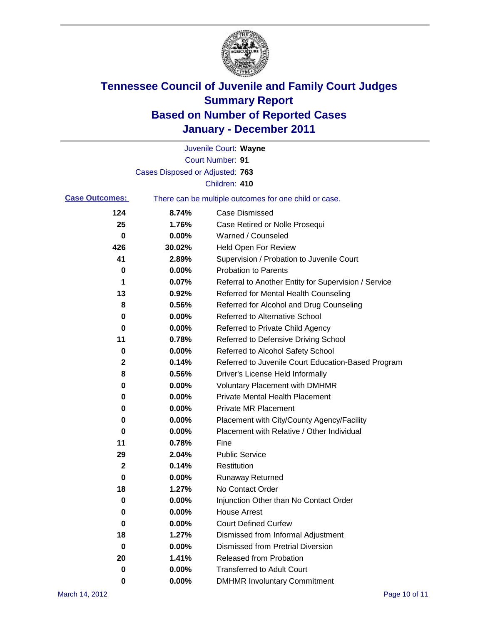

|                       |                                 | Juvenile Court: Wayne                                 |
|-----------------------|---------------------------------|-------------------------------------------------------|
|                       |                                 | <b>Court Number: 91</b>                               |
|                       | Cases Disposed or Adjusted: 763 |                                                       |
|                       |                                 | Children: 410                                         |
| <b>Case Outcomes:</b> |                                 | There can be multiple outcomes for one child or case. |
| 124                   | 8.74%                           | <b>Case Dismissed</b>                                 |
| 25                    | 1.76%                           | Case Retired or Nolle Prosequi                        |
| 0                     | 0.00%                           | Warned / Counseled                                    |
| 426                   | 30.02%                          | Held Open For Review                                  |
| 41                    | 2.89%                           | Supervision / Probation to Juvenile Court             |
| 0                     | 0.00%                           | <b>Probation to Parents</b>                           |
| 1                     | 0.07%                           | Referral to Another Entity for Supervision / Service  |
| 13                    | 0.92%                           | Referred for Mental Health Counseling                 |
| 8                     | 0.56%                           | Referred for Alcohol and Drug Counseling              |
| 0                     | 0.00%                           | <b>Referred to Alternative School</b>                 |
| 0                     | 0.00%                           | Referred to Private Child Agency                      |
| 11                    | 0.78%                           | Referred to Defensive Driving School                  |
| 0                     | 0.00%                           | Referred to Alcohol Safety School                     |
| 2                     | 0.14%                           | Referred to Juvenile Court Education-Based Program    |
| 8                     | 0.56%                           | Driver's License Held Informally                      |
| 0                     | 0.00%                           | <b>Voluntary Placement with DMHMR</b>                 |
| 0                     | 0.00%                           | <b>Private Mental Health Placement</b>                |
| 0                     | 0.00%                           | <b>Private MR Placement</b>                           |
| 0                     | 0.00%                           | Placement with City/County Agency/Facility            |
| 0                     | 0.00%                           | Placement with Relative / Other Individual            |
| 11                    | 0.78%                           | Fine                                                  |
| 29                    | 2.04%                           | <b>Public Service</b>                                 |
| 2                     | 0.14%                           | Restitution                                           |
| 0                     | 0.00%                           | <b>Runaway Returned</b>                               |
| 18                    | 1.27%                           | No Contact Order                                      |
| 0                     | 0.00%                           | Injunction Other than No Contact Order                |
| 0                     | 0.00%                           | <b>House Arrest</b>                                   |
| 0                     | 0.00%                           | <b>Court Defined Curfew</b>                           |
| 18                    | 1.27%                           | Dismissed from Informal Adjustment                    |
| $\mathbf 0$           | 0.00%                           | <b>Dismissed from Pretrial Diversion</b>              |
| 20                    | 1.41%                           | Released from Probation                               |
| 0                     | 0.00%                           | <b>Transferred to Adult Court</b>                     |
| 0                     | $0.00\%$                        | <b>DMHMR Involuntary Commitment</b>                   |